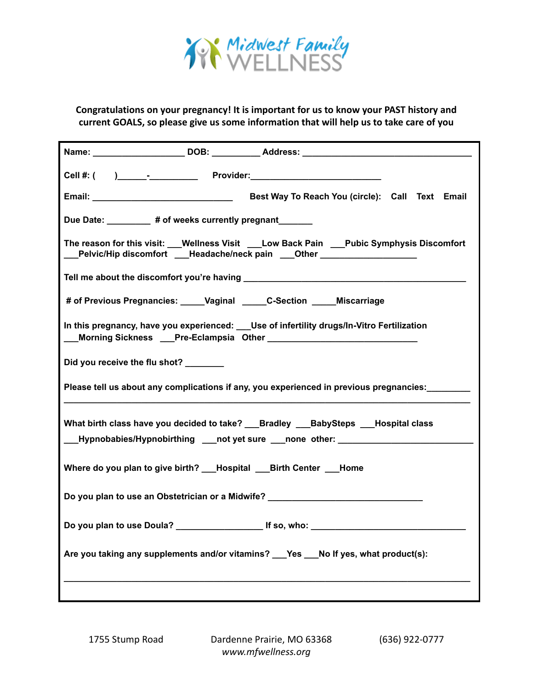

**Congratulations on your pregnancy! It is important for us to know your PAST history and current GOALS, so please give us some information that will help us to take care of you**

| Due Date: _________ # of weeks currently pregnant______                                                                                                                     |
|-----------------------------------------------------------------------------------------------------------------------------------------------------------------------------|
| The reason for this visit: __Wellness Visit ___Low Back Pain ___Pubic Symphysis Discomfort<br>__Pelvic/Hip discomfort ___Headache/neck pain ___Other ___________________    |
|                                                                                                                                                                             |
| # of Previous Pregnancies: _____Vaginal _____C-Section _____ Miscarriage                                                                                                    |
| In this pregnancy, have you experienced: ___ Use of infertility drugs/In-Vitro Fertilization                                                                                |
| Did you receive the flu shot?                                                                                                                                               |
| Please tell us about any complications if any, you experienced in previous pregnancies:                                                                                     |
| What birth class have you decided to take? ___ Bradley ___ BabySteps ___ Hospital class<br>___Hypnobabies/Hypnobirthing ___not yet sure ___none _other: ___________________ |
| Where do you plan to give birth? ___Hospital ___Birth Center ___Home                                                                                                        |
| Do you plan to use an Obstetrician or a Midwife? _______________________________                                                                                            |
|                                                                                                                                                                             |
| Are you taking any supplements and/or vitamins? ___Yes ___No If yes, what product(s):                                                                                       |
|                                                                                                                                                                             |

1755 Stump Road Dardenne Prairie, MO 63368 (636) 922-0777 *www.mfwellness.org*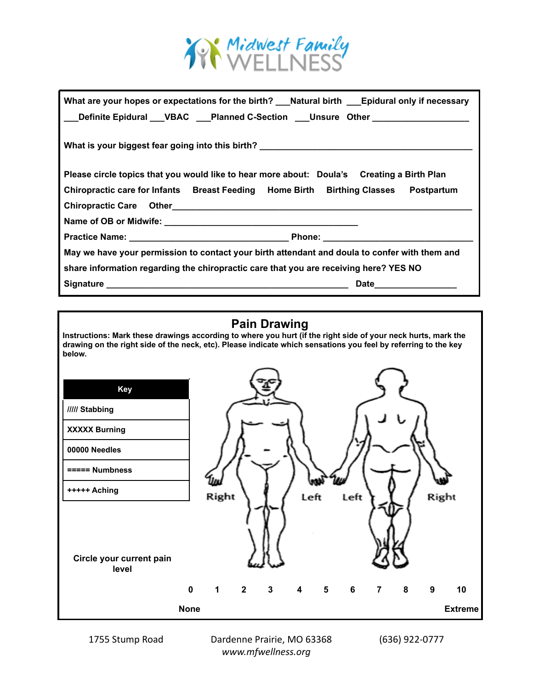

| What are your hopes or expectations for the birth? __Natural birth ___Epidural only if necessary<br>___Definite Epidural ___VBAC ___Planned C-Section ___Unsure Other ______________ |
|--------------------------------------------------------------------------------------------------------------------------------------------------------------------------------------|
| What is your biggest fear going into this birth? ________________________________                                                                                                    |
| Please circle topics that you would like to hear more about: Doula's Creating a Birth Plan                                                                                           |
| Chiropractic care for Infants Breast Feeding Home Birth Birthing Classes Postpartum                                                                                                  |
| Chiropractic Care Other Character Chiropractic Care Other                                                                                                                            |
|                                                                                                                                                                                      |
|                                                                                                                                                                                      |
| May we have your permission to contact your birth attendant and doula to confer with them and                                                                                        |
| share information regarding the chiropractic care that you are receiving here? YES NO                                                                                                |
| Date ________________                                                                                                                                                                |

## **Pain Drawing**

**Instructions: Mark these drawings according to where you hurt (if the right side of your neck hurts, mark the drawing on the right side of the neck, etc). Please indicate which sensations you feel by referring to the key below.**



1755 Stump Road Dardenne Prairie, MO 63368 (636) 922-0777 *www.mfwellness.org*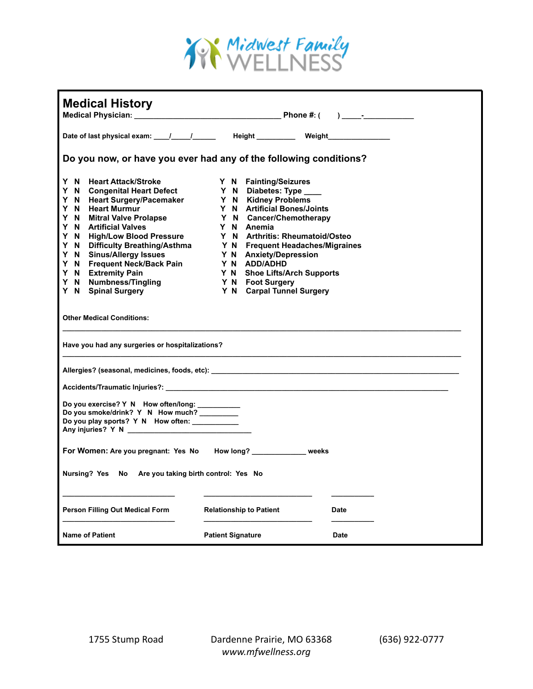

| <b>Medical History</b>                                                                                                                                                                                                                                                                            |                                                                                                                                                                                                                                                                                                                                                                                                                 |
|---------------------------------------------------------------------------------------------------------------------------------------------------------------------------------------------------------------------------------------------------------------------------------------------------|-----------------------------------------------------------------------------------------------------------------------------------------------------------------------------------------------------------------------------------------------------------------------------------------------------------------------------------------------------------------------------------------------------------------|
|                                                                                                                                                                                                                                                                                                   |                                                                                                                                                                                                                                                                                                                                                                                                                 |
|                                                                                                                                                                                                                                                                                                   | Do you now, or have you ever had any of the following conditions?                                                                                                                                                                                                                                                                                                                                               |
| Y N Heart Attack/Stroke<br>Y N Congenital Heart Defect<br>Y N Heart Surgery/Pacemaker Y N Kidney Problems<br>Y N Heart Murmur<br>Y N<br><b>Mitral Valve Prolapse</b><br>Y N Artificial Valves<br>Y N Frequent Neck/Back Pain<br>Y N Extremity Pain<br>Y N Numbness/Tingling<br>Y N Spinal Surgery | Y N Fainting/Seizures<br>Y N Diabetes: Type ____<br>Y N Artificial Bones/Joints<br>Y N Cancer/Chemotherapy<br>Y N Anemia<br>Y N High/Low Blood Pressure Y N Arthritis: Rheumatoid/Osteo<br>Y N Difficulty Breathing/Asthma Y N Frequent Headaches/Migraines<br>Y N Sinus/Allergy Issues Y N Anxiety/Depression<br>Y N ADD/ADHD<br>Y N Shoe Lifts/Arch Supports<br>Y N Foot Surgery<br>Y N Carpal Tunnel Surgery |
| <b>Other Medical Conditions:</b>                                                                                                                                                                                                                                                                  |                                                                                                                                                                                                                                                                                                                                                                                                                 |
| Have you had any surgeries or hospitalizations?                                                                                                                                                                                                                                                   |                                                                                                                                                                                                                                                                                                                                                                                                                 |
|                                                                                                                                                                                                                                                                                                   | Allergies? (seasonal, medicines, foods, etc):                                                                                                                                                                                                                                                                                                                                                                   |
|                                                                                                                                                                                                                                                                                                   |                                                                                                                                                                                                                                                                                                                                                                                                                 |
| Do you exercise? Y N How often/long: __________<br>Do you smoke/drink? Y N How much? ________<br>Do you play sports? Y N How often: __________                                                                                                                                                    |                                                                                                                                                                                                                                                                                                                                                                                                                 |
| For Women: Are you pregnant: Yes No How long? _____________ weeks                                                                                                                                                                                                                                 |                                                                                                                                                                                                                                                                                                                                                                                                                 |
| Nursing? Yes No Are you taking birth control: Yes No                                                                                                                                                                                                                                              |                                                                                                                                                                                                                                                                                                                                                                                                                 |
| <b>Person Filling Out Medical Form</b>                                                                                                                                                                                                                                                            | <b>Relationship to Patient</b><br><b>Date</b>                                                                                                                                                                                                                                                                                                                                                                   |
| <b>Name of Patient</b>                                                                                                                                                                                                                                                                            | <b>Patient Signature</b><br><b>Date</b>                                                                                                                                                                                                                                                                                                                                                                         |